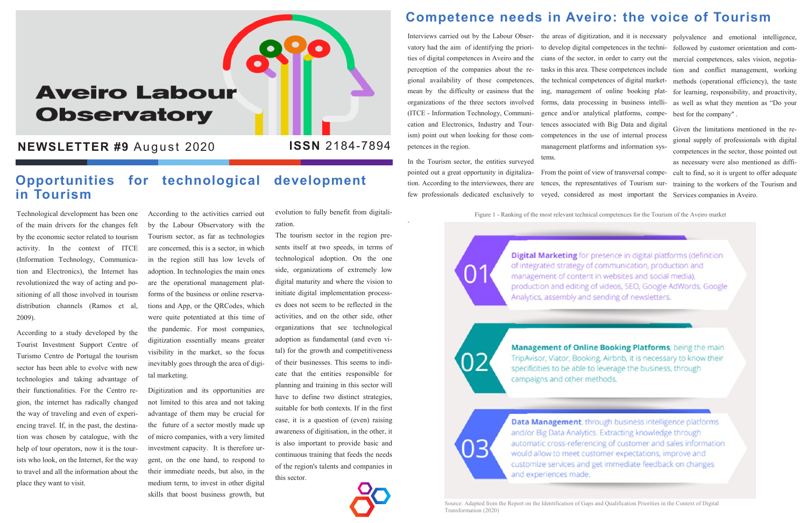# **Aveiro Labour Observatory**

**NEWSLETTER #9 August 2020** 

Technological development has been one of the main drivers for the changes felt by the economic sector related to tourism activity. In the context of ITCE (Information Technology, Communication and Electronics), the Internet has revolutionized the way of acting and positioning of all those involved in tourism distribution channels (Ramos et al, 2009).

According to a study developed by the Tourist Investment Support Centre of Turismo Centro de Portugal the tourism sector has been able to evolve with new technologies and taking advantage of their functionalities. For the Centro region, the internet has radically changed the way of traveling and even of experiencing travel. If, in the past, the destination was chosen by catalogue, with the help of tour operators, now it is the tourists who look, on the Internet, for the way to travel and all the information about the place they want to visit.

According to the activities carried out by the Labour Observatory with the Tourism sector, as far as technologies are concerned, this is a sector, in which in the region still has low levels of adoption. In technologies the main ones are the operational management platforms of the business or online reservations and App, or the QRCodes, which were quite potentiated at this time of the pandemic. For most companies, digitization essentially means greater visibility in the market, so the focus inevitably goes through the area of digital marketing.

Digitization and its opportunities are not limited to this area and not taking advantage of them may be crucial for the future of a sector mostly made up of micro companies, with a very limited investment capacity. It is therefore urgent, on the one hand, to respond to their immediate needs, but also, in the medium term, to invest in other digital skills that boost business growth, but

evolution to fully benefit from digitalization.

The tourism sector in the region presents itself at two speeds, in terms of technological adoption. On the one side, organizations of extremely low digital maturity and where the vision to initiate digital implementation processes does not seem to be reflected in the activities, and on the other side, other organizations that see technological adoption as fundamental (and even vital) for the growth and competitiveness of their businesses. This seems to indicate that the entities responsible for planning and training in this sector will have to define two distinct strategies, suitable for both contexts. If in the first case, it is a question of (even) raising awareness of digitisation, in the other, it is also important to provide basic and continuous training that feeds the needs of the region's talents and companies in this sector.



### **Competence needs in Aveiro: the voice of Tourism**

Interviews carried out by the Labour Obser-the areas of digitization, and it is necessary polyvalence and emotional intelligence, vatory had the aim of identifying the priorities of digital competences in Aveiro and the perception of the companies about the regional availability of those competences, mean by the difficulty or easiness that the organizations of the three sectors involved (ITCE - Information Technology, Communication and Electronics, Industry and Tourism) point out when looking for those com-competences in the use of internal process petences in the region.

In the Tourism sector, the entities surveyed pointed out a great opportunity in digitalization. According to the interviewees, there are few professionals dedicated exclusively to

.

#### **Opportunities for technological development in Tourism**

to develop digital competences in the technicians of the sector, in order to carry out the tasks in this area. These competences include the technical competences of digital marketing, management of online booking platforms, data processing in business intelligence and/or analytical platforms, competences associated with Big Data and digital management platforms and information sys-

tems.

From the point of view of transversal competences, the representatives of Tourism surveyed, considered as most important the

followed by customer orientation and commercial competences, sales vision, negotiation and conflict management, working methods (operational efficiency), the taste for learning, responsibility, and proactivity, as well as what they mention as "Do your best for the company" .

Given the limitations mentioned in the regional supply of professionals with digital competences in the sector, those pointed out as necessary were also mentioned as difficult to find, so it is urgent to offer adequate training to the workers of the Tourism and Services companies in Aveiro.

Figure 1 - Ranking of the most relevant technical competences for the Tourism of the Aveiro market

Digital Marketing for presence in digital platforms (definition of integrated strategy of communication, production and management of content in websites and social media), production and editing of videos, SEO, Google AdWords, Google Analytics, assembly and sending of newsletters.

רו

)3

Management of Online Booking Platforms, being the main TripAvisor, Viator, Booking, Airbnb, it is necessary to know their specificities to be able to leverage the business, through campaigns and other methods.

Data Management, through business intelligence platforms and/or Big Data Analytics. Extracting knowledge through automatic cross-referencing of customer and sales information would allow to meet customer expectations, improve and customize services and get immediate feedback on changes and experiences made.

Source: Adapted from the Report on the Identification of Gaps and Qualification Priorities in the Context of Digital Transformation (2020)

#### **ISSN** 2184-7894